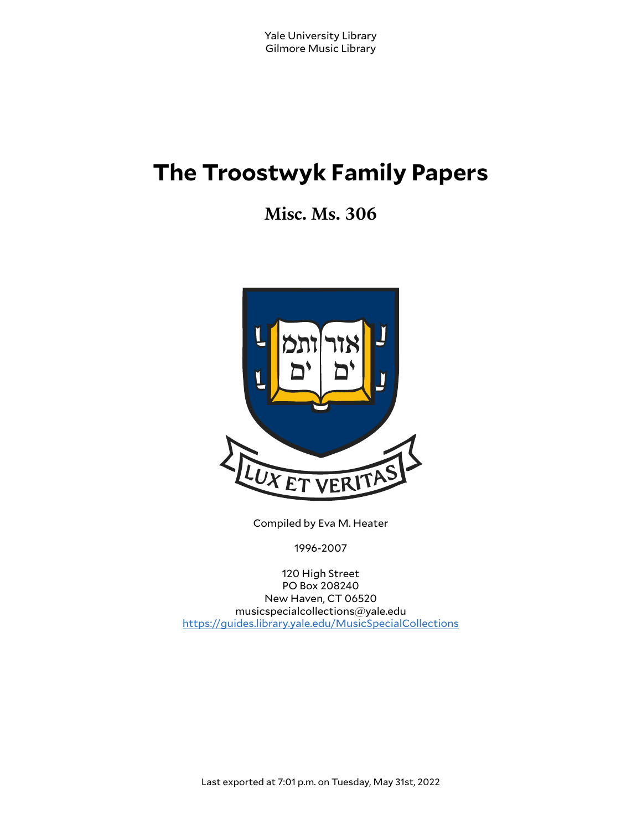# **The Troostwyk Family Papers**

**Misc. Ms. 306**



Compiled by Eva M. Heater

1996-2007

120 High Street PO Box 208240 New Haven, CT 06520 musicspecialcollections@yale.edu <https://guides.library.yale.edu/MusicSpecialCollections>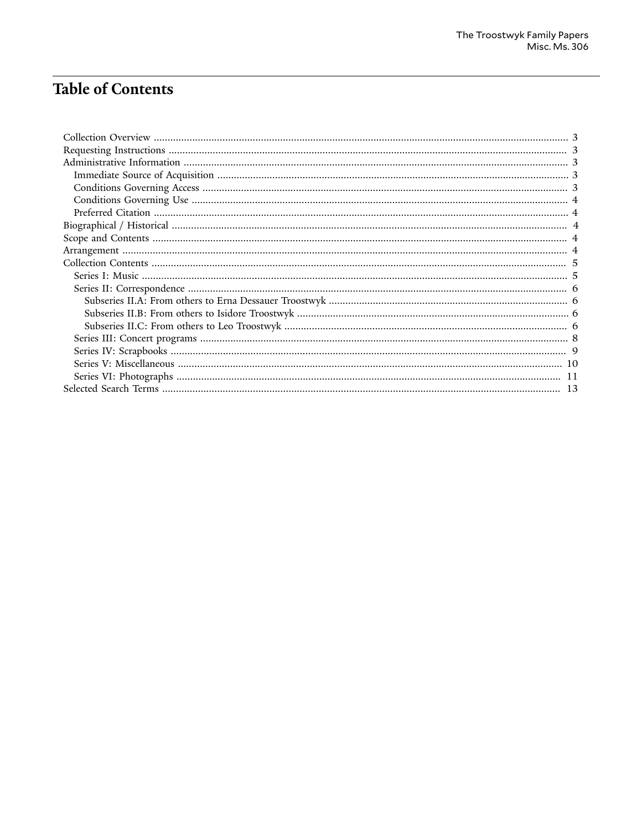## **Table of Contents**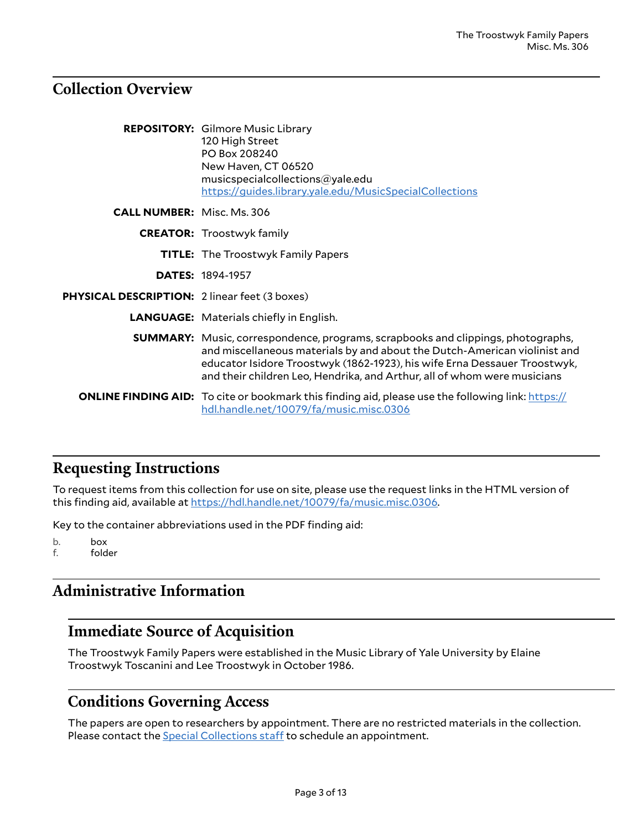#### <span id="page-2-0"></span>**Collection Overview**

|                                                      | <b>REPOSITORY:</b> Gilmore Music Library<br>120 High Street<br>PO Box 208240<br>New Haven, CT 06520<br>musicspecialcollections@yale.edu<br>https://guides.library.yale.edu/MusicSpecialCollections                                                                                                                            |
|------------------------------------------------------|-------------------------------------------------------------------------------------------------------------------------------------------------------------------------------------------------------------------------------------------------------------------------------------------------------------------------------|
| <b>CALL NUMBER:</b> Misc. Ms. 306                    |                                                                                                                                                                                                                                                                                                                               |
|                                                      | <b>CREATOR:</b> Troostwyk family                                                                                                                                                                                                                                                                                              |
|                                                      | <b>TITLE:</b> The Troostwyk Family Papers                                                                                                                                                                                                                                                                                     |
|                                                      | <b>DATES: 1894-1957</b>                                                                                                                                                                                                                                                                                                       |
| <b>PHYSICAL DESCRIPTION: 2 linear feet (3 boxes)</b> |                                                                                                                                                                                                                                                                                                                               |
|                                                      | <b>LANGUAGE:</b> Materials chiefly in English.                                                                                                                                                                                                                                                                                |
|                                                      | <b>SUMMARY:</b> Music, correspondence, programs, scrapbooks and clippings, photographs,<br>and miscellaneous materials by and about the Dutch-American violinist and<br>educator Isidore Troostwyk (1862-1923), his wife Erna Dessauer Troostwyk,<br>and their children Leo, Hendrika, and Arthur, all of whom were musicians |
|                                                      | <b>ONLINE FINDING AID:</b> To cite or bookmark this finding aid, please use the following link: https://<br>hdl.handle.net/10079/fa/music.misc.0306                                                                                                                                                                           |

#### <span id="page-2-1"></span>**Requesting Instructions**

To request items from this collection for use on site, please use the request links in the HTML version of this finding aid, available at <https://hdl.handle.net/10079/fa/music.misc.0306>.

Key to the container abbreviations used in the PDF finding aid:

b. box f. folder

#### <span id="page-2-2"></span>**Administrative Information**

#### <span id="page-2-3"></span>**Immediate Source of Acquisition**

The Troostwyk Family Papers were established in the Music Library of Yale University by Elaine Troostwyk Toscanini and Lee Troostwyk in October 1986.

#### <span id="page-2-4"></span>**Conditions Governing Access**

The papers are open to researchers by appointment. There are no restricted materials in the collection. Please contact the **Special [Collections](http://www.library.yale.edu/musiclib) staff** to schedule an appointment.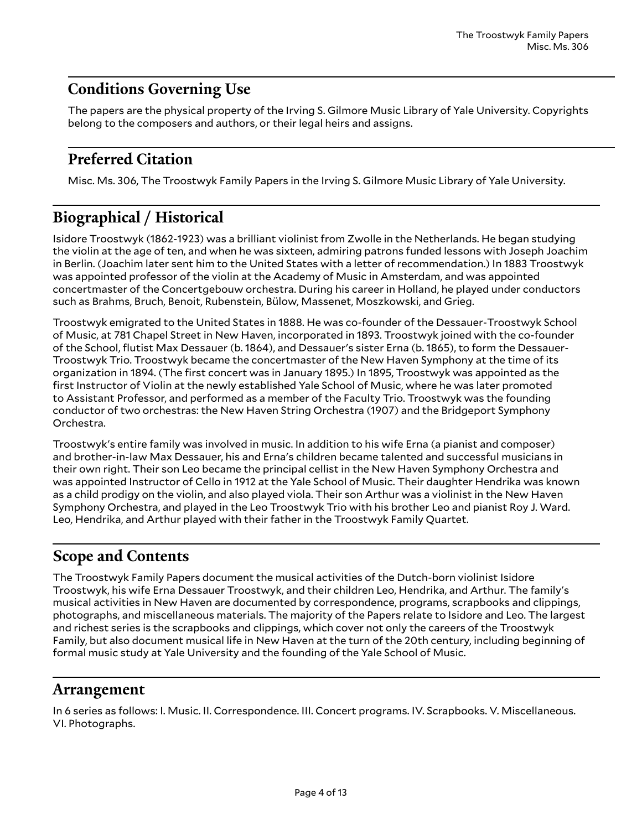### <span id="page-3-0"></span>**Conditions Governing Use**

The papers are the physical property of the Irving S. Gilmore Music Library of Yale University. Copyrights belong to the composers and authors, or their legal heirs and assigns.

### <span id="page-3-1"></span>**Preferred Citation**

Misc. Ms. 306, The Troostwyk Family Papers in the Irving S. Gilmore Music Library of Yale University.

### <span id="page-3-2"></span>**Biographical / Historical**

Isidore Troostwyk (1862-1923) was a brilliant violinist from Zwolle in the Netherlands. He began studying the violin at the age of ten, and when he was sixteen, admiring patrons funded lessons with Joseph Joachim in Berlin. (Joachim later sent him to the United States with a letter of recommendation.) In 1883 Troostwyk was appointed professor of the violin at the Academy of Music in Amsterdam, and was appointed concertmaster of the Concertgebouw orchestra. During his career in Holland, he played under conductors such as Brahms, Bruch, Benoit, Rubenstein, Bülow, Massenet, Moszkowski, and Grieg.

Troostwyk emigrated to the United States in 1888. He was co-founder of the Dessauer-Troostwyk School of Music, at 781 Chapel Street in New Haven, incorporated in 1893. Troostwyk joined with the co-founder of the School, flutist Max Dessauer (b. 1864), and Dessauer's sister Erna (b. 1865), to form the Dessauer-Troostwyk Trio. Troostwyk became the concertmaster of the New Haven Symphony at the time of its organization in 1894. (The first concert was in January 1895.) In 1895, Troostwyk was appointed as the first Instructor of Violin at the newly established Yale School of Music, where he was later promoted to Assistant Professor, and performed as a member of the Faculty Trio. Troostwyk was the founding conductor of two orchestras: the New Haven String Orchestra (1907) and the Bridgeport Symphony Orchestra.

Troostwyk's entire family was involved in music. In addition to his wife Erna (a pianist and composer) and brother-in-law Max Dessauer, his and Erna's children became talented and successful musicians in their own right. Their son Leo became the principal cellist in the New Haven Symphony Orchestra and was appointed Instructor of Cello in 1912 at the Yale School of Music. Their daughter Hendrika was known as a child prodigy on the violin, and also played viola. Their son Arthur was a violinist in the New Haven Symphony Orchestra, and played in the Leo Troostwyk Trio with his brother Leo and pianist Roy J. Ward. Leo, Hendrika, and Arthur played with their father in the Troostwyk Family Quartet.

### <span id="page-3-3"></span>**Scope and Contents**

The Troostwyk Family Papers document the musical activities of the Dutch-born violinist Isidore Troostwyk, his wife Erna Dessauer Troostwyk, and their children Leo, Hendrika, and Arthur. The family's musical activities in New Haven are documented by correspondence, programs, scrapbooks and clippings, photographs, and miscellaneous materials. The majority of the Papers relate to Isidore and Leo. The largest and richest series is the scrapbooks and clippings, which cover not only the careers of the Troostwyk Family, but also document musical life in New Haven at the turn of the 20th century, including beginning of formal music study at Yale University and the founding of the Yale School of Music.

#### <span id="page-3-4"></span>**Arrangement**

In 6 series as follows: I. Music. II. Correspondence. III. Concert programs. IV. Scrapbooks. V. Miscellaneous. VI. Photographs.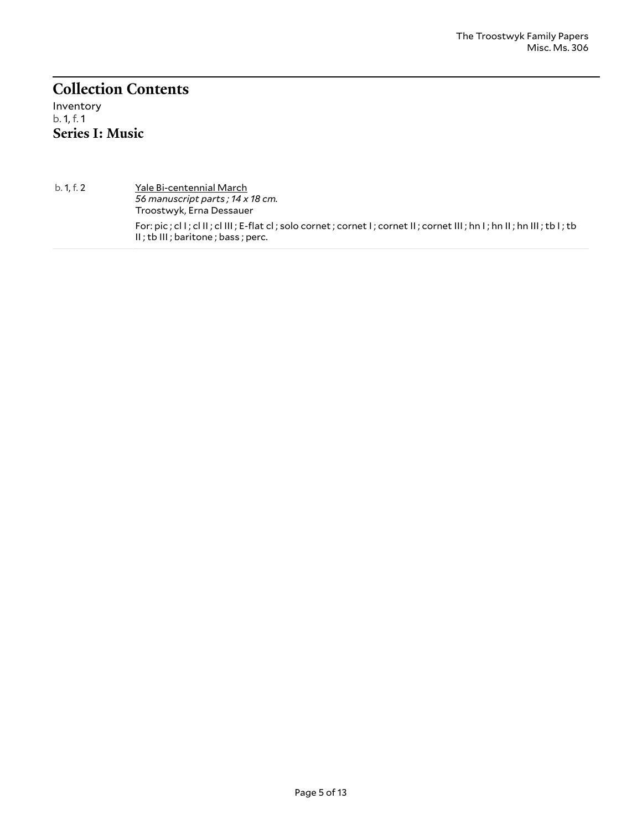### <span id="page-4-0"></span>**Collection Contents**

<span id="page-4-1"></span>Inventory b. 1, f. 1 **Series I: Music**

b. 1, f. 2 Yale Bi-centennial March *56 manuscript parts ; 14 x 18 cm.* Troostwyk, Erna Dessauer For: pic ; cl I ; cl II ; cl III ; E-flat cl ; solo cornet ; cornet I ; cornet II ; cornet III ; hn I ; hn II ; hn III ; tb I ; tb II ; tb III ; baritone ; bass ; perc.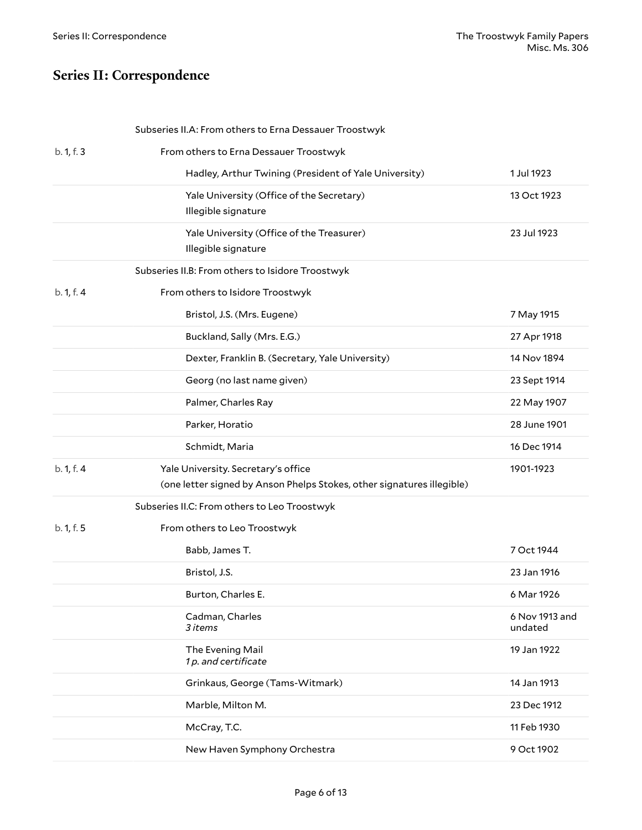### <span id="page-5-0"></span>**Series II: Correspondence**

<span id="page-5-3"></span><span id="page-5-2"></span><span id="page-5-1"></span>

| b. 1, f. 3<br>From others to Erna Dessauer Troostwyk<br>Hadley, Arthur Twining (President of Yale University)<br>Yale University (Office of the Secretary) |                           |
|------------------------------------------------------------------------------------------------------------------------------------------------------------|---------------------------|
|                                                                                                                                                            |                           |
|                                                                                                                                                            | 1 Jul 1923                |
| Illegible signature                                                                                                                                        | 13 Oct 1923               |
| Yale University (Office of the Treasurer)<br>Illegible signature                                                                                           | 23 Jul 1923               |
| Subseries II.B: From others to Isidore Troostwyk                                                                                                           |                           |
| From others to Isidore Troostwyk<br>b. 1, f. 4                                                                                                             |                           |
| Bristol, J.S. (Mrs. Eugene)                                                                                                                                | 7 May 1915                |
| Buckland, Sally (Mrs. E.G.)                                                                                                                                | 27 Apr 1918               |
| Dexter, Franklin B. (Secretary, Yale University)                                                                                                           | 14 Nov 1894               |
| Georg (no last name given)                                                                                                                                 | 23 Sept 1914              |
| Palmer, Charles Ray                                                                                                                                        | 22 May 1907               |
| Parker, Horatio                                                                                                                                            | 28 June 1901              |
| Schmidt, Maria                                                                                                                                             | 16 Dec 1914               |
| b. 1, f. 4<br>Yale University. Secretary's office<br>(one letter signed by Anson Phelps Stokes, other signatures illegible)                                | 1901-1923                 |
| Subseries II.C: From others to Leo Troostwyk                                                                                                               |                           |
| b. 1, f. 5<br>From others to Leo Troostwyk                                                                                                                 |                           |
| Babb, James T.                                                                                                                                             | 7 Oct 1944                |
| Bristol, J.S.                                                                                                                                              | 23 Jan 1916               |
| Burton, Charles E.                                                                                                                                         | 6 Mar 1926                |
|                                                                                                                                                            | 6 Nov 1913 and<br>undated |
| Cadman, Charles<br>3 items                                                                                                                                 |                           |
| The Evening Mail<br>1p. and certificate                                                                                                                    | 19 Jan 1922               |
| Grinkaus, George (Tams-Witmark)                                                                                                                            | 14 Jan 1913               |
| Marble, Milton M.                                                                                                                                          | 23 Dec 1912               |
| McCray, T.C.                                                                                                                                               | 11 Feb 1930               |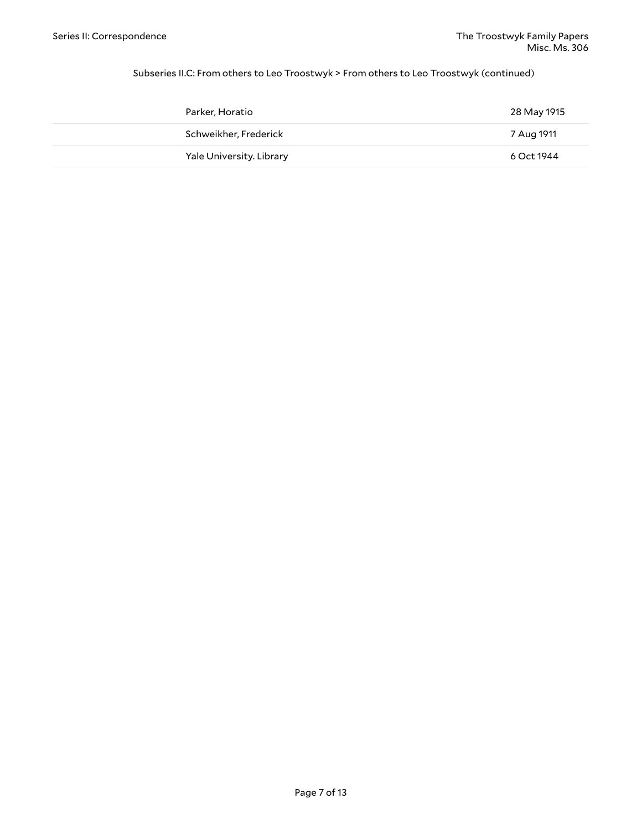#### Subseries II.C: From others to Leo Troostwyk > From others to Leo Troostwyk (continued)

| Parker, Horatio          | 28 May 1915 |
|--------------------------|-------------|
| Schweikher, Frederick    | 7 Aug 1911  |
| Yale University. Library | 6 Oct 1944  |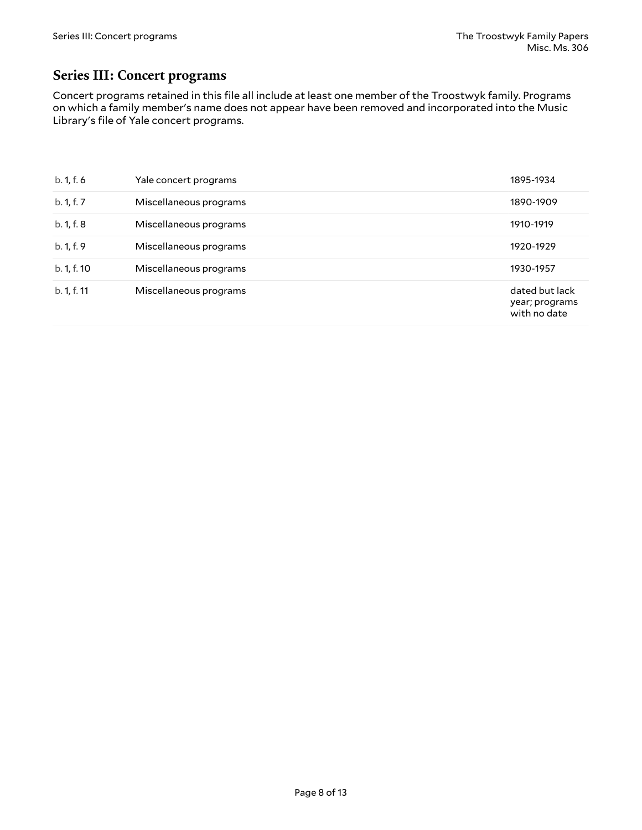#### <span id="page-7-0"></span>**Series III: Concert programs**

Concert programs retained in this file all include at least one member of the Troostwyk family. Programs on which a family member's name does not appear have been removed and incorporated into the Music Library's file of Yale concert programs.

| b. 1, f. 6  | Yale concert programs  | 1895-1934                                        |
|-------------|------------------------|--------------------------------------------------|
| b. 1, f. 7  | Miscellaneous programs | 1890-1909                                        |
| b. 1, f. 8  | Miscellaneous programs | 1910-1919                                        |
| b. 1, f. 9  | Miscellaneous programs | 1920-1929                                        |
| b. 1, f. 10 | Miscellaneous programs | 1930-1957                                        |
| b. 1, f. 11 | Miscellaneous programs | dated but lack<br>year; programs<br>with no date |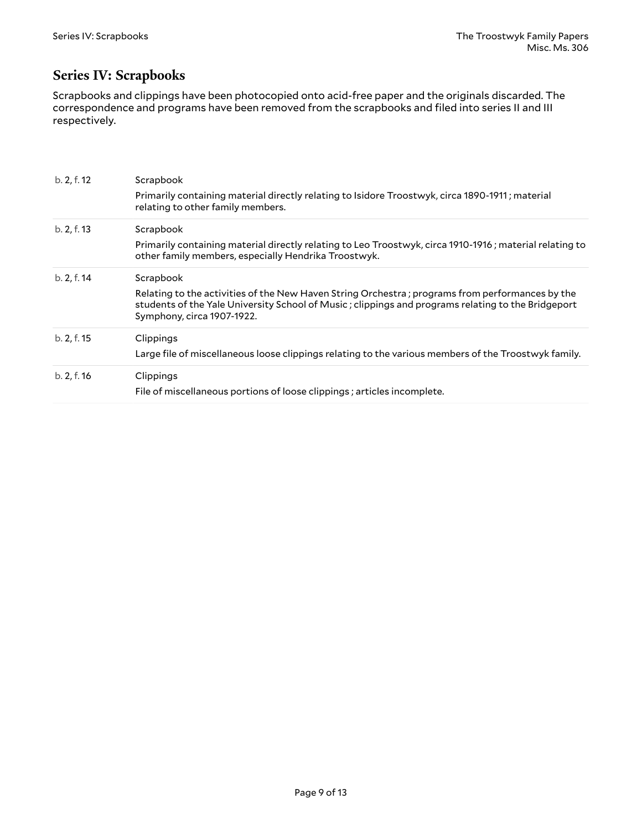#### <span id="page-8-0"></span>**Series IV: Scrapbooks**

Scrapbooks and clippings have been photocopied onto acid-free paper and the originals discarded. The correspondence and programs have been removed from the scrapbooks and filed into series II and III respectively.

| b. 2, f. 12 | Scrapbook                                                                                                                                                                                                                           |  |  |
|-------------|-------------------------------------------------------------------------------------------------------------------------------------------------------------------------------------------------------------------------------------|--|--|
|             | Primarily containing material directly relating to Isidore Troostwyk, circa 1890-1911; material<br>relating to other family members.                                                                                                |  |  |
| b. 2, f. 13 | Scrapbook                                                                                                                                                                                                                           |  |  |
|             | Primarily containing material directly relating to Leo Troostwyk, circa 1910-1916; material relating to<br>other family members, especially Hendrika Troostwyk.                                                                     |  |  |
| b. 2, f. 14 | Scrapbook                                                                                                                                                                                                                           |  |  |
|             | Relating to the activities of the New Haven String Orchestra; programs from performances by the<br>students of the Yale University School of Music; clippings and programs relating to the Bridgeport<br>Symphony, circa 1907-1922. |  |  |
| b. 2, f. 15 | Clippings                                                                                                                                                                                                                           |  |  |
|             | Large file of miscellaneous loose clippings relating to the various members of the Troostwyk family.                                                                                                                                |  |  |
| b. 2, f. 16 | Clippings                                                                                                                                                                                                                           |  |  |
|             | File of miscellaneous portions of loose clippings; articles incomplete.                                                                                                                                                             |  |  |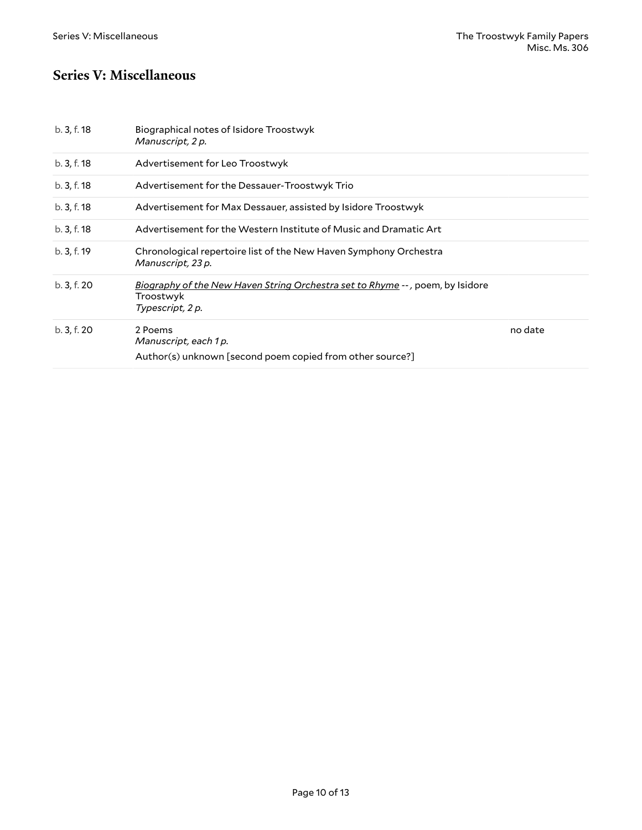#### <span id="page-9-0"></span>**Series V: Miscellaneous**

| b.3, f.18   | Biographical notes of Isidore Troostwyk<br>Manuscript, 2 p.                                                           |         |
|-------------|-----------------------------------------------------------------------------------------------------------------------|---------|
| b. 3, f. 18 | Advertisement for Leo Troostwyk                                                                                       |         |
| b. 3, f. 18 | Advertisement for the Dessauer-Troostwyk Trio                                                                         |         |
| b. 3, f. 18 | Advertisement for Max Dessauer, assisted by Isidore Troostwyk                                                         |         |
| b. 3, f. 18 | Advertisement for the Western Institute of Music and Dramatic Art                                                     |         |
| b. 3, f. 19 | Chronological repertoire list of the New Haven Symphony Orchestra<br>Manuscript, 23 p.                                |         |
| b. 3, f. 20 | <u>Biography of the New Haven String Orchestra set to Rhyme</u> --, poem, by Isidore<br>Troostwyk<br>Typescript, 2 p. |         |
| b. 3, f. 20 | 2 Poems<br>Manuscript, each 1 p.<br>Author(s) unknown [second poem copied from other source?]                         | no date |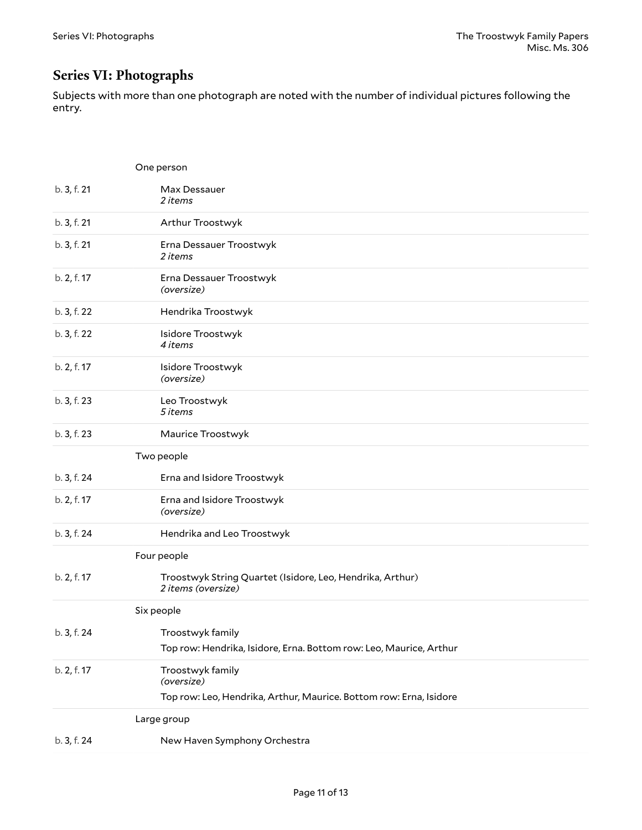#### <span id="page-10-0"></span>**Series VI: Photographs**

Subjects with more than one photograph are noted with the number of individual pictures following the entry.

|             | One person                                                                      |
|-------------|---------------------------------------------------------------------------------|
| b. 3, f. 21 | Max Dessauer<br>2 items                                                         |
| b. 3, f. 21 | Arthur Troostwyk                                                                |
| b. 3, f. 21 | Erna Dessauer Troostwyk<br>2 items                                              |
| b. 2, f. 17 | Erna Dessauer Troostwyk<br>(oversize)                                           |
| b. 3, f. 22 | Hendrika Troostwyk                                                              |
| b. 3, f. 22 | Isidore Troostwyk<br>4 items                                                    |
| b. 2, f. 17 | Isidore Troostwyk<br>(oversize)                                                 |
| b. 3, f. 23 | Leo Troostwyk<br>5 items                                                        |
| b. 3, f. 23 | Maurice Troostwyk                                                               |
|             | Two people                                                                      |
| b. 3, f. 24 | Erna and Isidore Troostwyk                                                      |
| b. 2, f. 17 | Erna and Isidore Troostwyk<br>(oversize)                                        |
| b. 3, f. 24 | Hendrika and Leo Troostwyk                                                      |
|             | Four people                                                                     |
| b. 2, f. 17 | Troostwyk String Quartet (Isidore, Leo, Hendrika, Arthur)<br>2 items (oversize) |
|             | Six people                                                                      |
| b. 3, f. 24 | Troostwyk family                                                                |
|             | Top row: Hendrika, Isidore, Erna. Bottom row: Leo, Maurice, Arthur              |
| b. 2, f. 17 | Troostwyk family<br>(oversize)                                                  |
|             | Top row: Leo, Hendrika, Arthur, Maurice. Bottom row: Erna, Isidore              |
|             | Large group                                                                     |
| b. 3, f. 24 | New Haven Symphony Orchestra                                                    |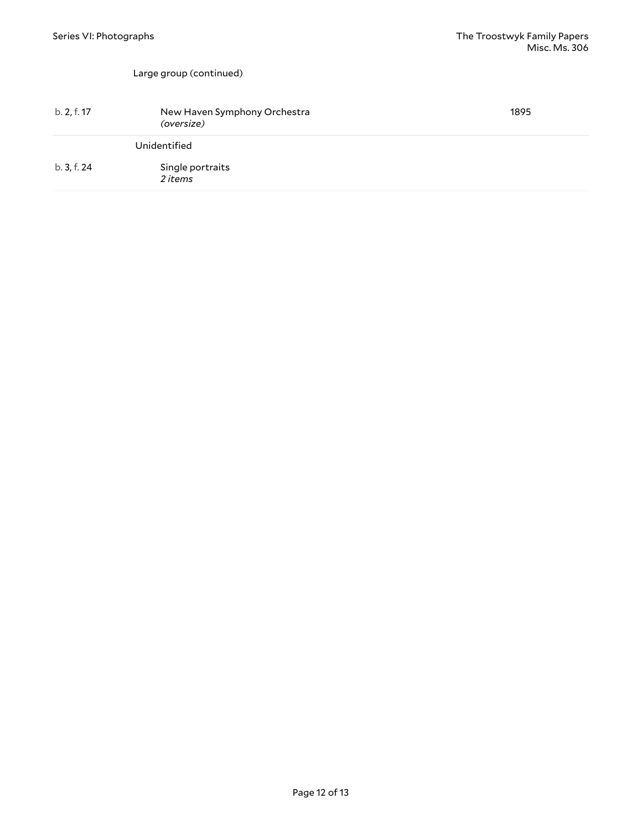#### Large group (continued)

| b. 2, f. 17 | New Haven Symphony Orchestra<br>(oversize) | 1895 |
|-------------|--------------------------------------------|------|
|             | Unidentified                               |      |
| b. 3, f. 24 | Single portraits<br>2 items                |      |
|             |                                            |      |